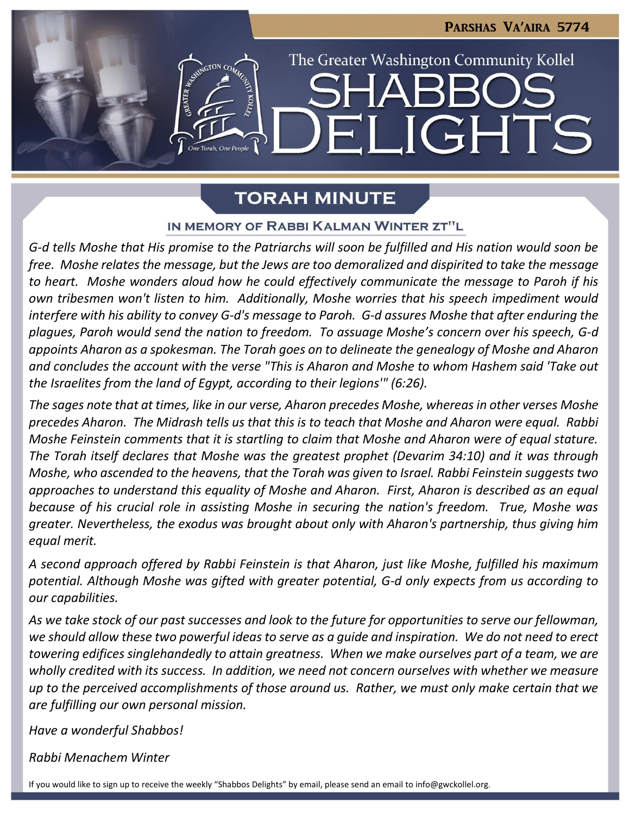**IGHT** 

The Greater Washington Community Kollel

# **TORAH MINUTE**

### IN MEMORY OF RABBI KALMAN WINTER ZT"L

*G-d tells Moshe that His promise to the Patriarchs will soon be fulfilled and His nation would soon be free. Moshe relates the message, but the Jews are too demoralized and dispirited to take the message to heart. Moshe wonders aloud how he could effectively communicate the message to Paroh if his own tribesmen won't listen to him. Additionally, Moshe worries that his speech impediment would interfere with his ability to convey G-d's message to Paroh. G-d assures Moshe that after enduring the plagues, Paroh would send the nation to freedom. To assuage Moshe's concern over his speech, G-d appoints Aharon as a spokesman. The Torah goes on to delineate the genealogy of Moshe and Aharon and concludes the account with the verse "This is Aharon and Moshe to whom Hashem said 'Take out the Israelites from the land of Egypt, according to their legions'" (6:26).*

*The sages note that at times, like in our verse, Aharon precedes Moshe, whereas in other verses Moshe precedes Aharon. The Midrash tells us that this is to teach that Moshe and Aharon were equal. Rabbi Moshe Feinstein comments that it is startling to claim that Moshe and Aharon were of equal stature. The Torah itself declares that Moshe was the greatest prophet (Devarim 34:10) and it was through Moshe, who ascended to the heavens, that the Torah was given to Israel. Rabbi Feinstein suggests two approaches to understand this equality of Moshe and Aharon. First, Aharon is described as an equal because of his crucial role in assisting Moshe in securing the nation's freedom. True, Moshe was greater. Nevertheless, the exodus was brought about only with Aharon's partnership, thus giving him equal merit.* 

*A second approach offered by Rabbi Feinstein is that Aharon, just like Moshe, fulfilled his maximum potential. Although Moshe was gifted with greater potential, G-d only expects from us according to our capabilities.* 

*As we take stock of our past successes and look to the future for opportunities to serve our fellowman, we should allow these two powerful ideas to serve as a guide and inspiration. We do not need to erect towering edifices singlehandedly to attain greatness. When we make ourselves part of a team, we are wholly credited with its success. In addition, we need not concern ourselves with whether we measure up to the perceived accomplishments of those around us. Rather, we must only make certain that we are fulfilling our own personal mission.* 

*Have a wonderful Shabbos!*

*Rabbi Menachem Winter*

If you would like to sign up to receive the weekly "Shabbos Delights" by email, please send an email to [info@gwckollel.org](mailto:info@gwckollel.org).